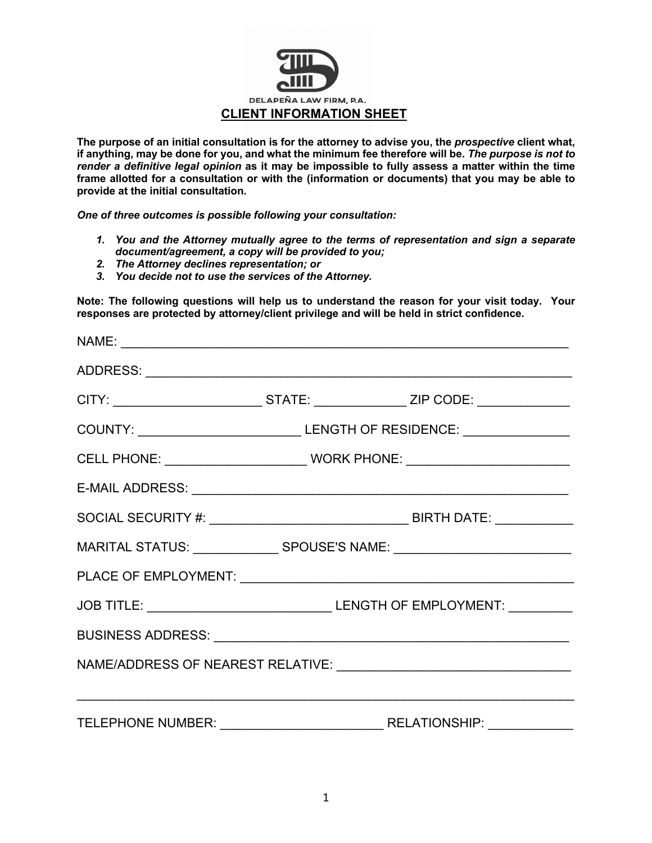

**The purpose of an initial consultation is for the attorney to advise you, the** *prospective* **client what, if anything, may be done for you, and what the minimum fee therefore will be.** *The purpose is not to render a definitive legal opinion* **as it may be impossible to fully assess a matter within the time frame allotted for a consultation or with the (information or documents) that you may be able to provide at the initial consultation.** 

*One of three outcomes is possible following your consultation:*

- *1. You and the Attorney mutually agree to the terms of representation and sign a separate document/agreement, a copy will be provided to you;*
- *2. The Attorney declines representation; or*
- *3. You decide not to use the services of the Attorney.*

**Note: The following questions will help us to understand the reason for your visit today. Your responses are protected by attorney/client privilege and will be held in strict confidence.** 

| CITY: ______________________________STATE: _________________ZIP CODE: ____________ |                                                                                  |  |  |  |  |
|------------------------------------------------------------------------------------|----------------------------------------------------------------------------------|--|--|--|--|
|                                                                                    | COUNTY: _________________________________LENGTH OF RESIDENCE: __________________ |  |  |  |  |
|                                                                                    |                                                                                  |  |  |  |  |
|                                                                                    |                                                                                  |  |  |  |  |
|                                                                                    |                                                                                  |  |  |  |  |
| MARITAL STATUS: ________________ SPOUSE'S NAME: ________________________________   |                                                                                  |  |  |  |  |
|                                                                                    |                                                                                  |  |  |  |  |
|                                                                                    |                                                                                  |  |  |  |  |
|                                                                                    |                                                                                  |  |  |  |  |
|                                                                                    |                                                                                  |  |  |  |  |
|                                                                                    |                                                                                  |  |  |  |  |
|                                                                                    |                                                                                  |  |  |  |  |